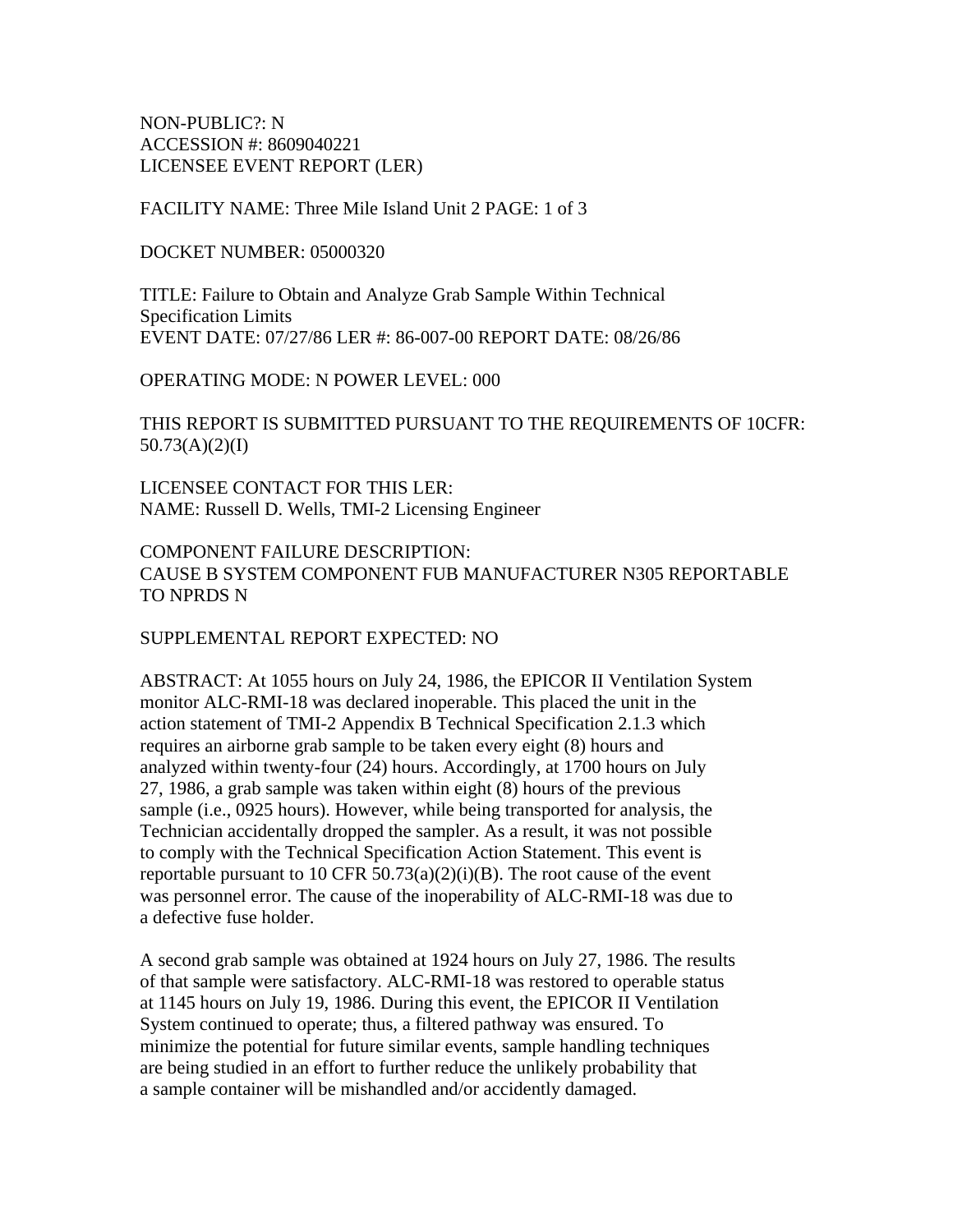NON-PUBLIC?: N ACCESSION #: 8609040221 LICENSEE EVENT REPORT (LER)

FACILITY NAME: Three Mile Island Unit 2 PAGE: 1 of 3

DOCKET NUMBER: 05000320

TITLE: Failure to Obtain and Analyze Grab Sample Within Technical Specification Limits EVENT DATE: 07/27/86 LER #: 86-007-00 REPORT DATE: 08/26/86

OPERATING MODE: N POWER LEVEL: 000

THIS REPORT IS SUBMITTED PURSUANT TO THE REQUIREMENTS OF 10CFR: 50.73(A)(2)(I)

LICENSEE CONTACT FOR THIS LER: NAME: Russell D. Wells, TMI-2 Licensing Engineer

COMPONENT FAILURE DESCRIPTION: CAUSE B SYSTEM COMPONENT FUB MANUFACTURER N305 REPORTABLE TO NPRDS N

SUPPLEMENTAL REPORT EXPECTED: NO

ABSTRACT: At 1055 hours on July 24, 1986, the EPICOR II Ventilation System monitor ALC-RMI-18 was declared inoperable. This placed the unit in the action statement of TMI-2 Appendix B Technical Specification 2.1.3 which requires an airborne grab sample to be taken every eight (8) hours and analyzed within twenty-four (24) hours. Accordingly, at 1700 hours on July 27, 1986, a grab sample was taken within eight (8) hours of the previous sample (i.e., 0925 hours). However, while being transported for analysis, the Technician accidentally dropped the sampler. As a result, it was not possible to comply with the Technical Specification Action Statement. This event is reportable pursuant to 10 CFR 50.73(a)(2)(i)(B). The root cause of the event was personnel error. The cause of the inoperability of ALC-RMI-18 was due to a defective fuse holder.

A second grab sample was obtained at 1924 hours on July 27, 1986. The results of that sample were satisfactory. ALC-RMI-18 was restored to operable status at 1145 hours on July 19, 1986. During this event, the EPICOR II Ventilation System continued to operate; thus, a filtered pathway was ensured. To minimize the potential for future similar events, sample handling techniques are being studied in an effort to further reduce the unlikely probability that a sample container will be mishandled and/or accidently damaged.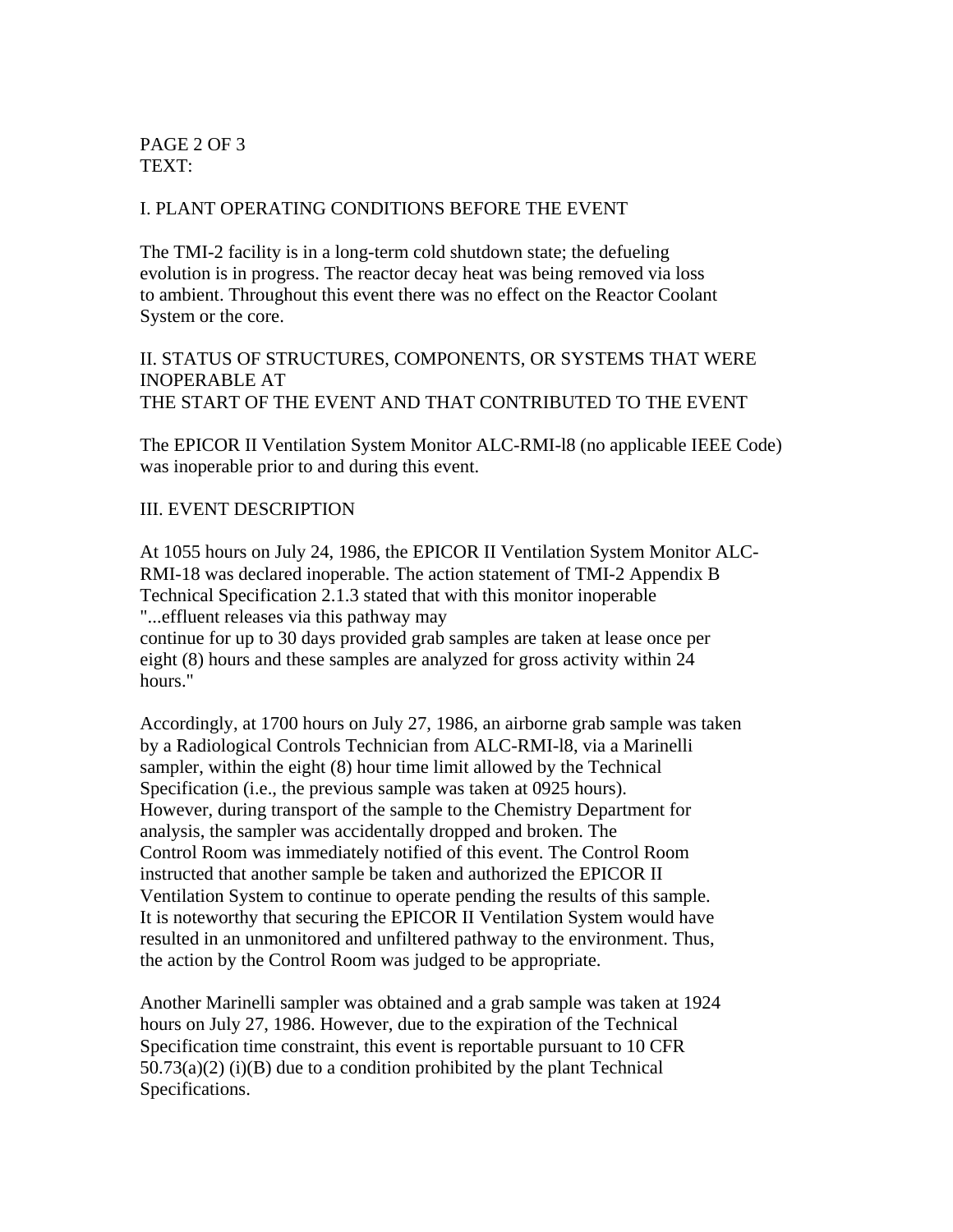PAGE 2 OF 3 TEXT:

#### I. PLANT OPERATING CONDITIONS BEFORE THE EVENT

The TMI-2 facility is in a long-term cold shutdown state; the defueling evolution is in progress. The reactor decay heat was being removed via loss to ambient. Throughout this event there was no effect on the Reactor Coolant System or the core.

#### II. STATUS OF STRUCTURES, COMPONENTS, OR SYSTEMS THAT WERE INOPERABLE AT THE START OF THE EVENT AND THAT CONTRIBUTED TO THE EVENT

The EPICOR II Ventilation System Monitor ALC-RMI-l8 (no applicable IEEE Code) was inoperable prior to and during this event.

#### III. EVENT DESCRIPTION

At 1055 hours on July 24, 1986, the EPICOR II Ventilation System Monitor ALC-RMI-18 was declared inoperable. The action statement of TMI-2 Appendix B Technical Specification 2.1.3 stated that with this monitor inoperable "...effluent releases via this pathway may continue for up to 30 days provided grab samples are taken at lease once per eight (8) hours and these samples are analyzed for gross activity within 24 hours."

Accordingly, at 1700 hours on July 27, 1986, an airborne grab sample was taken by a Radiological Controls Technician from ALC-RMI-l8, via a Marinelli sampler, within the eight (8) hour time limit allowed by the Technical Specification (i.e., the previous sample was taken at 0925 hours). However, during transport of the sample to the Chemistry Department for analysis, the sampler was accidentally dropped and broken. The Control Room was immediately notified of this event. The Control Room instructed that another sample be taken and authorized the EPICOR II Ventilation System to continue to operate pending the results of this sample. It is noteworthy that securing the EPICOR II Ventilation System would have resulted in an unmonitored and unfiltered pathway to the environment. Thus, the action by the Control Room was judged to be appropriate.

Another Marinelli sampler was obtained and a grab sample was taken at 1924 hours on July 27, 1986. However, due to the expiration of the Technical Specification time constraint, this event is reportable pursuant to 10 CFR  $50.73(a)(2)$  (i)(B) due to a condition prohibited by the plant Technical Specifications.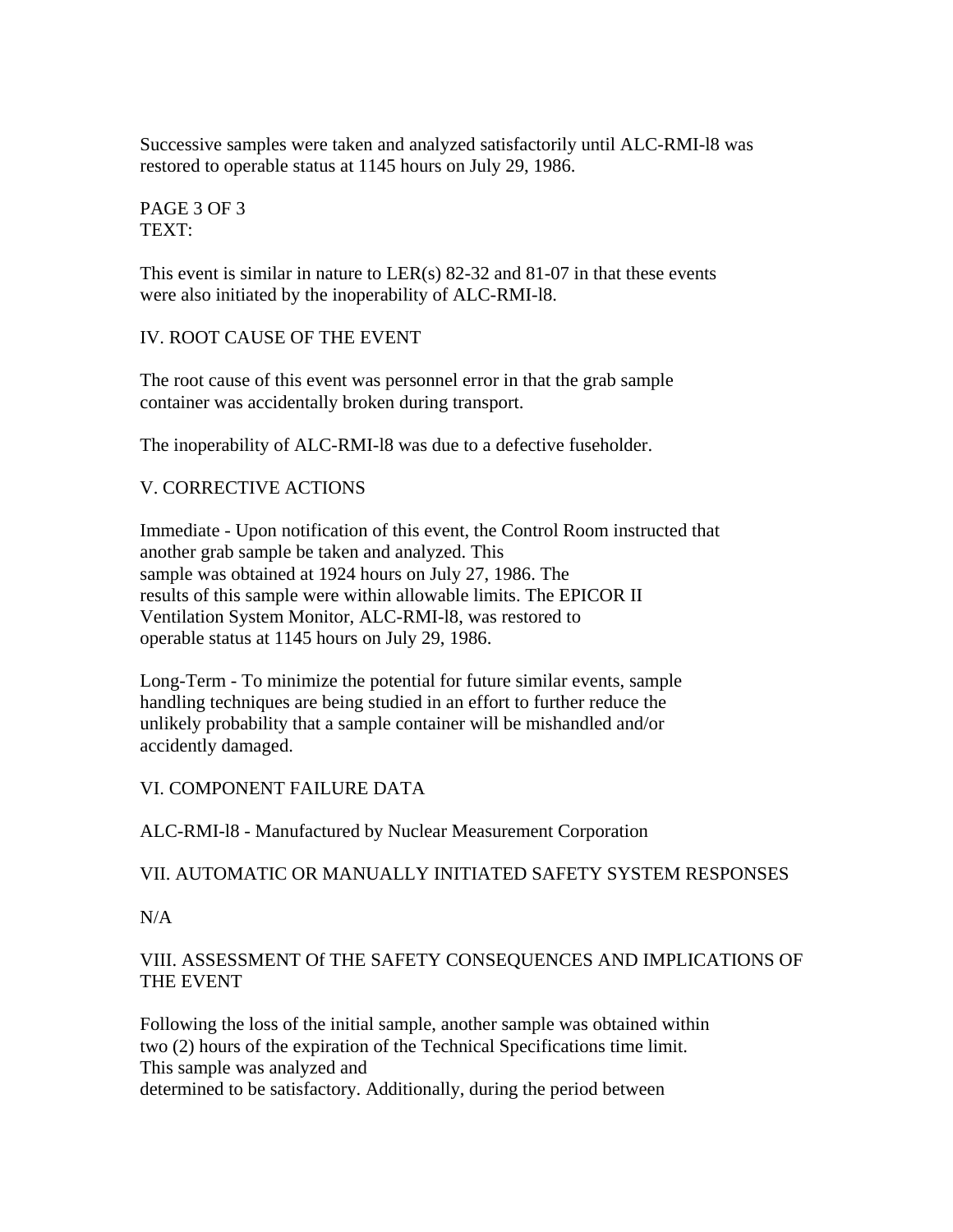Successive samples were taken and analyzed satisfactorily until ALC-RMI-l8 was restored to operable status at 1145 hours on July 29, 1986.

PAGE 3 OF 3 TEXT:

This event is similar in nature to LER(s) 82-32 and 81-07 in that these events were also initiated by the inoperability of ALC-RMI-l8.

IV. ROOT CAUSE OF THE EVENT

The root cause of this event was personnel error in that the grab sample container was accidentally broken during transport.

The inoperability of ALC-RMI-l8 was due to a defective fuseholder.

# V. CORRECTIVE ACTIONS

Immediate - Upon notification of this event, the Control Room instructed that another grab sample be taken and analyzed. This sample was obtained at 1924 hours on July 27, 1986. The results of this sample were within allowable limits. The EPICOR II Ventilation System Monitor, ALC-RMI-l8, was restored to operable status at 1145 hours on July 29, 1986.

Long-Term - To minimize the potential for future similar events, sample handling techniques are being studied in an effort to further reduce the unlikely probability that a sample container will be mishandled and/or accidently damaged.

# VI. COMPONENT FAILURE DATA

ALC-RMI-l8 - Manufactured by Nuclear Measurement Corporation

# VII. AUTOMATIC OR MANUALLY INITIATED SAFETY SYSTEM RESPONSES

 $N/A$ 

# VIII. ASSESSMENT Of THE SAFETY CONSEQUENCES AND IMPLICATIONS OF THE EVENT

Following the loss of the initial sample, another sample was obtained within two (2) hours of the expiration of the Technical Specifications time limit. This sample was analyzed and determined to be satisfactory. Additionally, during the period between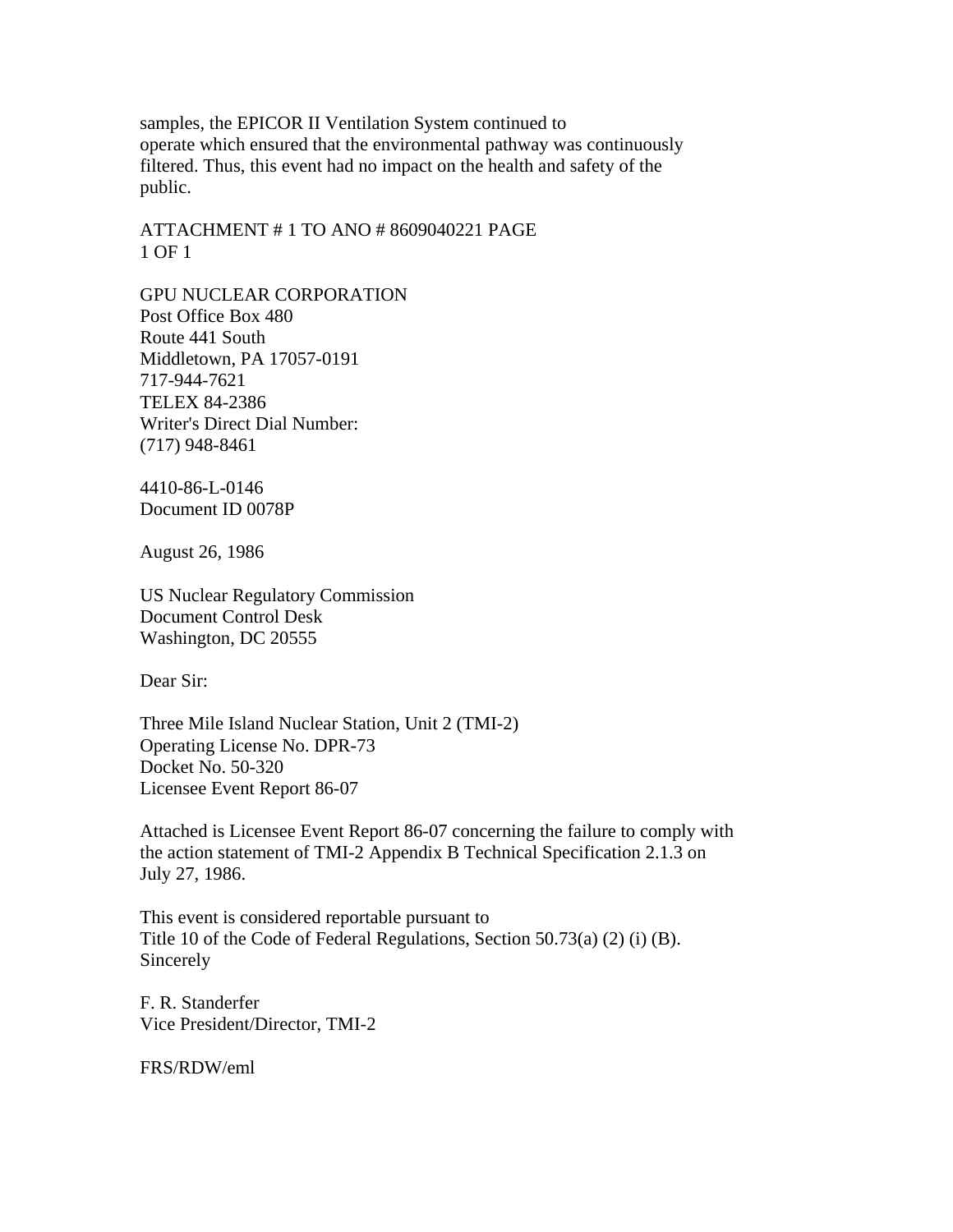samples, the EPICOR II Ventilation System continued to operate which ensured that the environmental pathway was continuously filtered. Thus, this event had no impact on the health and safety of the public.

ATTACHMENT # 1 TO ANO # 8609040221 PAGE 1 OF 1

GPU NUCLEAR CORPORATION Post Office Box 480 Route 441 South Middletown, PA 17057-0191 717-944-7621 TELEX 84-2386 Writer's Direct Dial Number: (717) 948-8461

4410-86-L-0146 Document ID 0078P

August 26, 1986

US Nuclear Regulatory Commission Document Control Desk Washington, DC 20555

Dear Sir:

Three Mile Island Nuclear Station, Unit 2 (TMI-2) Operating License No. DPR-73 Docket No. 50-320 Licensee Event Report 86-07

Attached is Licensee Event Report 86-07 concerning the failure to comply with the action statement of TMI-2 Appendix B Technical Specification 2.1.3 on July 27, 1986.

This event is considered reportable pursuant to Title 10 of the Code of Federal Regulations, Section 50.73(a) (2) (i) (B). Sincerely

F. R. Standerfer Vice President/Director, TMI-2

FRS/RDW/eml